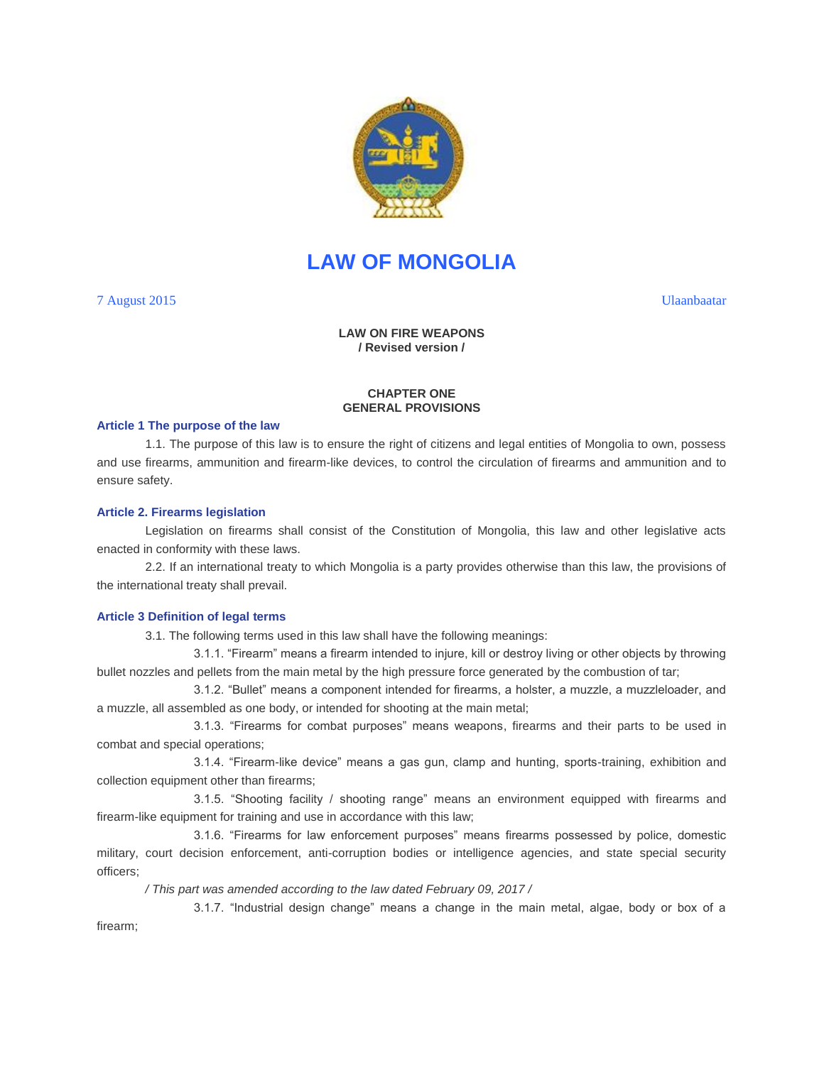

# **LAW OF MONGOLIA**

7 August 2015 Ulaanbaatar

# **LAW ON FIRE WEAPONS / Revised version /**

## **CHAPTER ONE GENERAL PROVISIONS**

#### **Article 1 The purpose of the law**

1.1. The purpose of this law is to ensure the right of citizens and legal entities of Mongolia to own, possess and use firearms, ammunition and firearm-like devices, to control the circulation of firearms and ammunition and to ensure safety.

#### **Article 2. Firearms legislation**

Legislation on firearms shall consist of the Constitution of Mongolia, this law and other legislative acts enacted in conformity with these laws.

2.2. If an international treaty to which Mongolia is a party provides otherwise than this law, the provisions of the international treaty shall prevail.

# **Article 3 Definition of legal terms**

3.1. The following terms used in this law shall have the following meanings:

3.1.1. "Firearm" means a firearm intended to injure, kill or destroy living or other objects by throwing bullet nozzles and pellets from the main metal by the high pressure force generated by the combustion of tar;

3.1.2. "Bullet" means a component intended for firearms, a holster, a muzzle, a muzzleloader, and a muzzle, all assembled as one body, or intended for shooting at the main metal;

3.1.3. "Firearms for combat purposes" means weapons, firearms and their parts to be used in combat and special operations;

3.1.4. "Firearm-like device" means a gas gun, clamp and hunting, sports-training, exhibition and collection equipment other than firearms;

3.1.5. "Shooting facility / shooting range" means an environment equipped with firearms and firearm-like equipment for training and use in accordance with this law;

3.1.6. "Firearms for law enforcement purposes" means firearms possessed by police, domestic military, court decision enforcement, anti-corruption bodies or intelligence agencies, and state special security officers;

*/ This part was amended according to the law dated February 09, 2017 /*

3.1.7. "Industrial design change" means a change in the main metal, algae, body or box of a

firearm;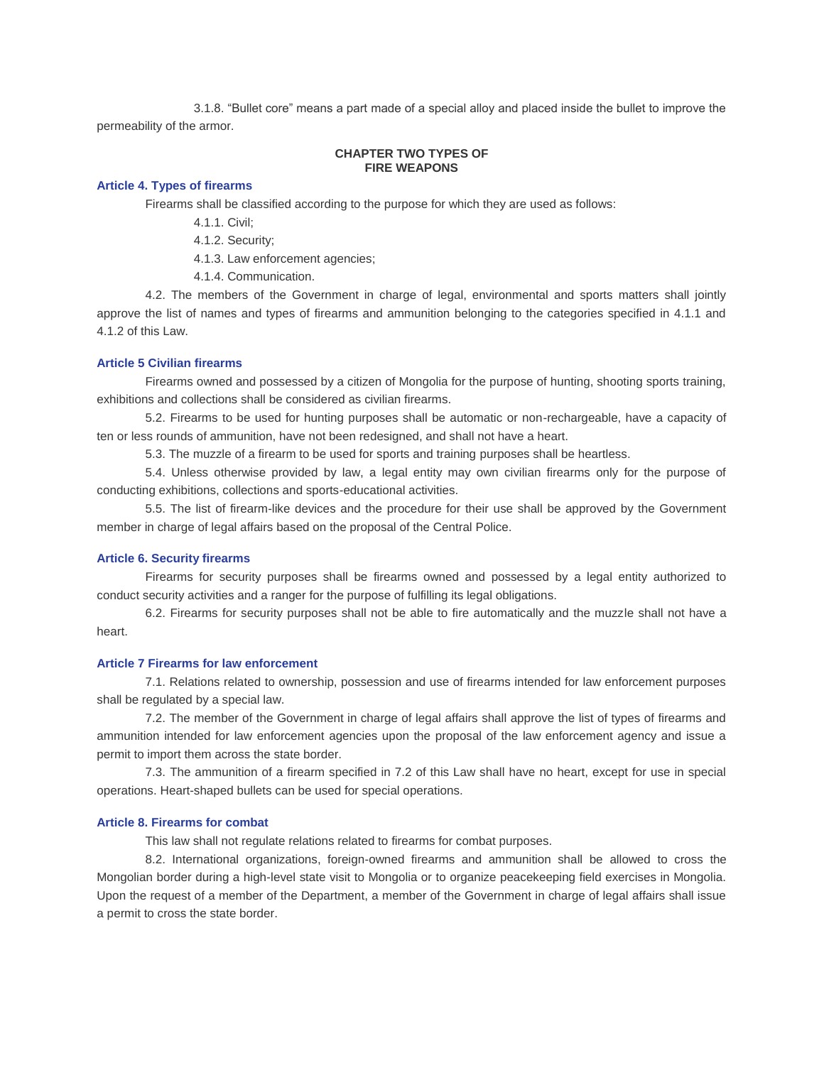3.1.8. "Bullet core" means a part made of a special alloy and placed inside the bullet to improve the permeability of the armor.

## **CHAPTER TWO TYPES OF FIRE WEAPONS**

### **Article 4. Types of firearms**

Firearms shall be classified according to the purpose for which they are used as follows:

4.1.1. Civil;

4.1.2. Security;

4.1.3. Law enforcement agencies;

4.1.4. Communication.

4.2. The members of the Government in charge of legal, environmental and sports matters shall jointly approve the list of names and types of firearms and ammunition belonging to the categories specified in 4.1.1 and 4.1.2 of this Law.

# **Article 5 Civilian firearms**

Firearms owned and possessed by a citizen of Mongolia for the purpose of hunting, shooting sports training, exhibitions and collections shall be considered as civilian firearms.

5.2. Firearms to be used for hunting purposes shall be automatic or non-rechargeable, have a capacity of ten or less rounds of ammunition, have not been redesigned, and shall not have a heart.

5.3. The muzzle of a firearm to be used for sports and training purposes shall be heartless.

5.4. Unless otherwise provided by law, a legal entity may own civilian firearms only for the purpose of conducting exhibitions, collections and sports-educational activities.

5.5. The list of firearm-like devices and the procedure for their use shall be approved by the Government member in charge of legal affairs based on the proposal of the Central Police.

#### **Article 6. Security firearms**

Firearms for security purposes shall be firearms owned and possessed by a legal entity authorized to conduct security activities and a ranger for the purpose of fulfilling its legal obligations.

6.2. Firearms for security purposes shall not be able to fire automatically and the muzzle shall not have a heart.

# **Article 7 Firearms for law enforcement**

7.1. Relations related to ownership, possession and use of firearms intended for law enforcement purposes shall be regulated by a special law.

7.2. The member of the Government in charge of legal affairs shall approve the list of types of firearms and ammunition intended for law enforcement agencies upon the proposal of the law enforcement agency and issue a permit to import them across the state border.

7.3. The ammunition of a firearm specified in 7.2 of this Law shall have no heart, except for use in special operations. Heart-shaped bullets can be used for special operations.

## **Article 8. Firearms for combat**

This law shall not regulate relations related to firearms for combat purposes.

8.2. International organizations, foreign-owned firearms and ammunition shall be allowed to cross the Mongolian border during a high-level state visit to Mongolia or to organize peacekeeping field exercises in Mongolia. Upon the request of a member of the Department, a member of the Government in charge of legal affairs shall issue a permit to cross the state border.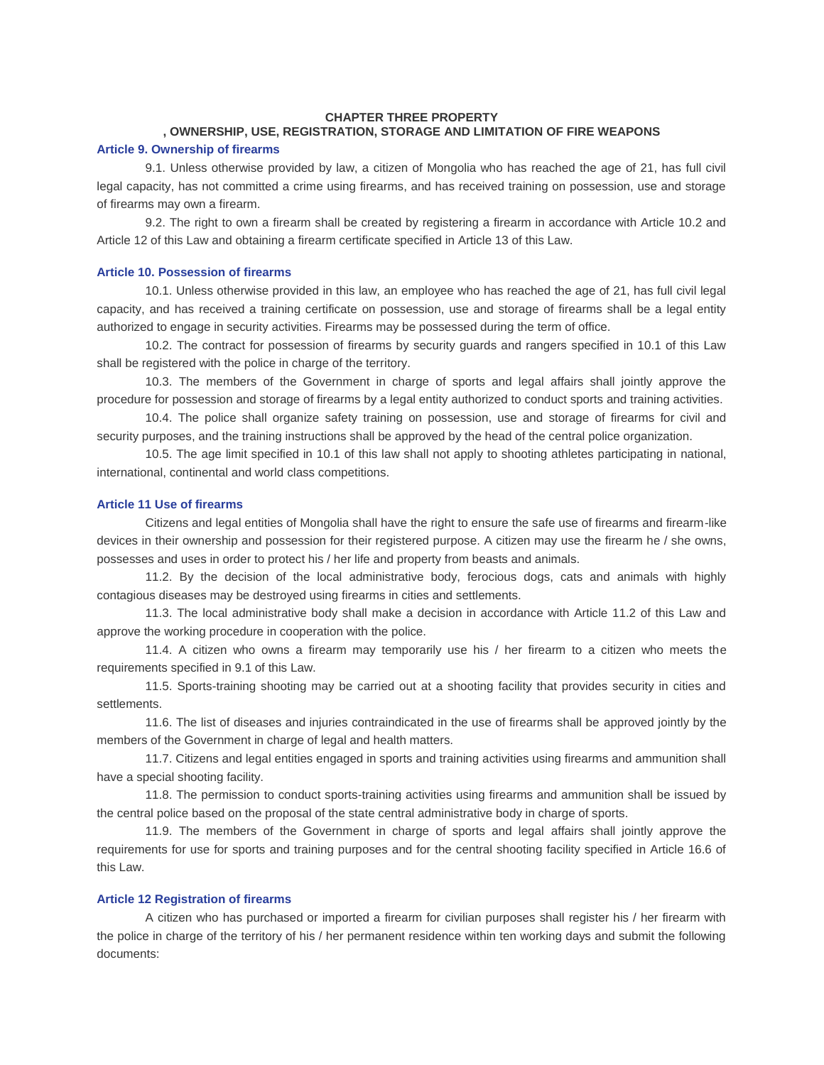## **CHAPTER THREE PROPERTY**

# **, OWNERSHIP, USE, REGISTRATION, STORAGE AND LIMITATION OF FIRE WEAPONS**

### **Article 9. Ownership of firearms**

9.1. Unless otherwise provided by law, a citizen of Mongolia who has reached the age of 21, has full civil legal capacity, has not committed a crime using firearms, and has received training on possession, use and storage of firearms may own a firearm.

9.2. The right to own a firearm shall be created by registering a firearm in accordance with Article 10.2 and Article 12 of this Law and obtaining a firearm certificate specified in Article 13 of this Law.

## **Article 10. Possession of firearms**

10.1. Unless otherwise provided in this law, an employee who has reached the age of 21, has full civil legal capacity, and has received a training certificate on possession, use and storage of firearms shall be a legal entity authorized to engage in security activities. Firearms may be possessed during the term of office.

10.2. The contract for possession of firearms by security guards and rangers specified in 10.1 of this Law shall be registered with the police in charge of the territory.

10.3. The members of the Government in charge of sports and legal affairs shall jointly approve the procedure for possession and storage of firearms by a legal entity authorized to conduct sports and training activities.

10.4. The police shall organize safety training on possession, use and storage of firearms for civil and security purposes, and the training instructions shall be approved by the head of the central police organization.

10.5. The age limit specified in 10.1 of this law shall not apply to shooting athletes participating in national, international, continental and world class competitions.

#### **Article 11 Use of firearms**

Citizens and legal entities of Mongolia shall have the right to ensure the safe use of firearms and firearm-like devices in their ownership and possession for their registered purpose. A citizen may use the firearm he / she owns, possesses and uses in order to protect his / her life and property from beasts and animals.

11.2. By the decision of the local administrative body, ferocious dogs, cats and animals with highly contagious diseases may be destroyed using firearms in cities and settlements.

11.3. The local administrative body shall make a decision in accordance with Article 11.2 of this Law and approve the working procedure in cooperation with the police.

11.4. A citizen who owns a firearm may temporarily use his / her firearm to a citizen who meets the requirements specified in 9.1 of this Law.

11.5. Sports-training shooting may be carried out at a shooting facility that provides security in cities and settlements.

11.6. The list of diseases and injuries contraindicated in the use of firearms shall be approved jointly by the members of the Government in charge of legal and health matters.

11.7. Citizens and legal entities engaged in sports and training activities using firearms and ammunition shall have a special shooting facility.

11.8. The permission to conduct sports-training activities using firearms and ammunition shall be issued by the central police based on the proposal of the state central administrative body in charge of sports.

11.9. The members of the Government in charge of sports and legal affairs shall jointly approve the requirements for use for sports and training purposes and for the central shooting facility specified in Article 16.6 of this Law.

## **Article 12 Registration of firearms**

A citizen who has purchased or imported a firearm for civilian purposes shall register his / her firearm with the police in charge of the territory of his / her permanent residence within ten working days and submit the following documents: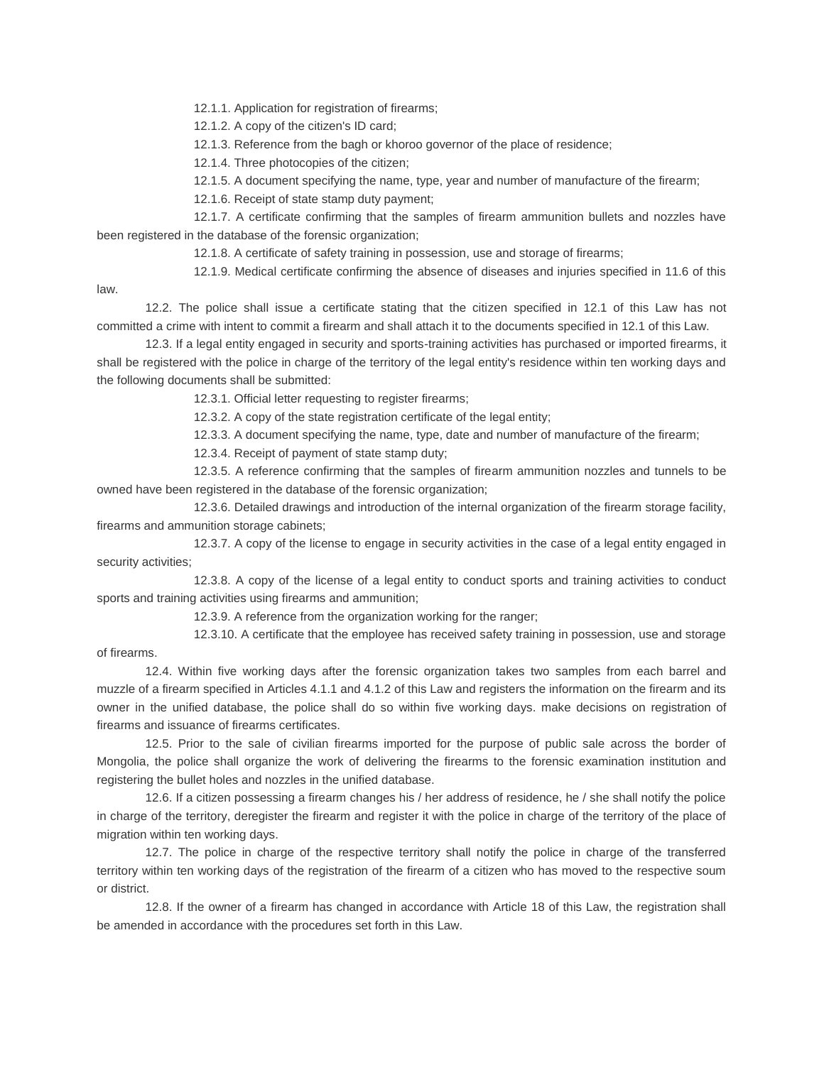12.1.1. Application for registration of firearms;

12.1.2. A copy of the citizen's ID card;

12.1.3. Reference from the bagh or khoroo governor of the place of residence;

12.1.4. Three photocopies of the citizen;

12.1.5. A document specifying the name, type, year and number of manufacture of the firearm;

12.1.6. Receipt of state stamp duty payment;

12.1.7. A certificate confirming that the samples of firearm ammunition bullets and nozzles have been registered in the database of the forensic organization;

12.1.8. A certificate of safety training in possession, use and storage of firearms;

12.1.9. Medical certificate confirming the absence of diseases and injuries specified in 11.6 of this

law.

12.2. The police shall issue a certificate stating that the citizen specified in 12.1 of this Law has not committed a crime with intent to commit a firearm and shall attach it to the documents specified in 12.1 of this Law.

12.3. If a legal entity engaged in security and sports-training activities has purchased or imported firearms, it shall be registered with the police in charge of the territory of the legal entity's residence within ten working days and the following documents shall be submitted:

12.3.1. Official letter requesting to register firearms;

12.3.2. A copy of the state registration certificate of the legal entity;

12.3.3. A document specifying the name, type, date and number of manufacture of the firearm;

12.3.4. Receipt of payment of state stamp duty;

12.3.5. A reference confirming that the samples of firearm ammunition nozzles and tunnels to be owned have been registered in the database of the forensic organization;

12.3.6. Detailed drawings and introduction of the internal organization of the firearm storage facility, firearms and ammunition storage cabinets;

12.3.7. A copy of the license to engage in security activities in the case of a legal entity engaged in security activities;

12.3.8. A copy of the license of a legal entity to conduct sports and training activities to conduct sports and training activities using firearms and ammunition;

12.3.9. A reference from the organization working for the ranger;

12.3.10. A certificate that the employee has received safety training in possession, use and storage of firearms.

12.4. Within five working days after the forensic organization takes two samples from each barrel and muzzle of a firearm specified in Articles 4.1.1 and 4.1.2 of this Law and registers the information on the firearm and its owner in the unified database, the police shall do so within five working days. make decisions on registration of firearms and issuance of firearms certificates.

12.5. Prior to the sale of civilian firearms imported for the purpose of public sale across the border of Mongolia, the police shall organize the work of delivering the firearms to the forensic examination institution and registering the bullet holes and nozzles in the unified database.

12.6. If a citizen possessing a firearm changes his / her address of residence, he / she shall notify the police in charge of the territory, deregister the firearm and register it with the police in charge of the territory of the place of migration within ten working days.

12.7. The police in charge of the respective territory shall notify the police in charge of the transferred territory within ten working days of the registration of the firearm of a citizen who has moved to the respective soum or district.

12.8. If the owner of a firearm has changed in accordance with Article 18 of this Law, the registration shall be amended in accordance with the procedures set forth in this Law.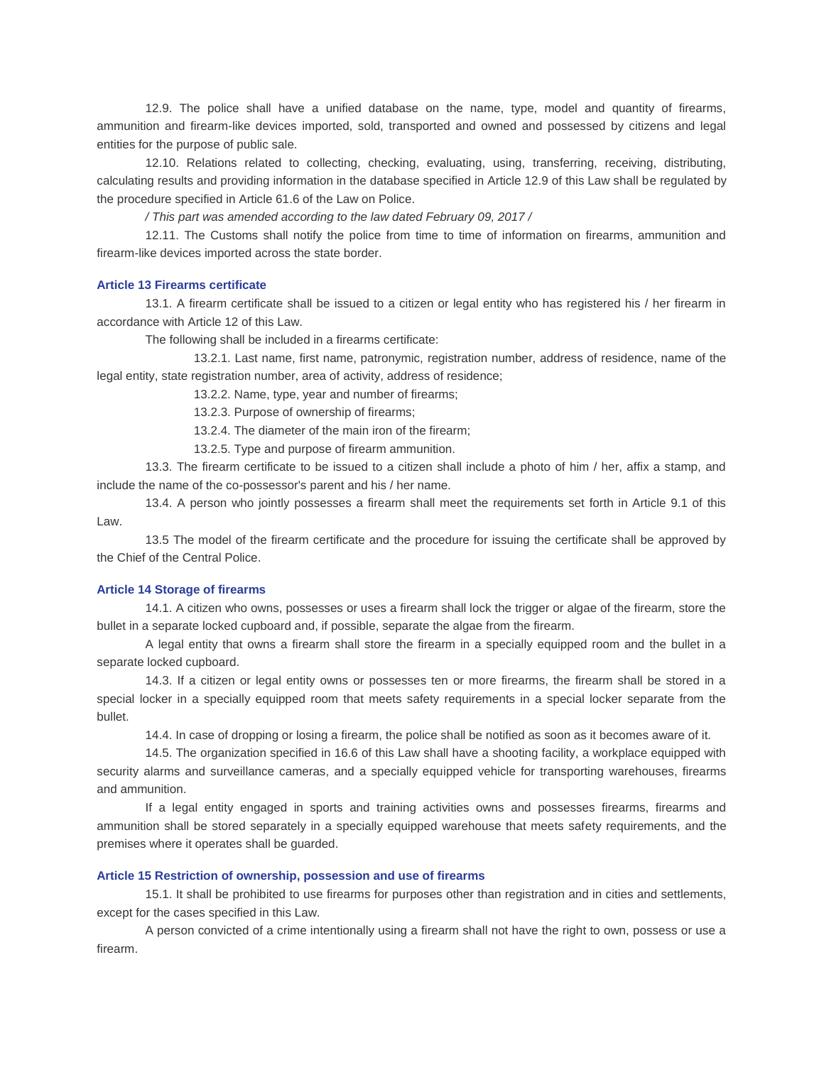12.9. The police shall have a unified database on the name, type, model and quantity of firearms, ammunition and firearm-like devices imported, sold, transported and owned and possessed by citizens and legal entities for the purpose of public sale.

12.10. Relations related to collecting, checking, evaluating, using, transferring, receiving, distributing, calculating results and providing information in the database specified in Article 12.9 of this Law shall be regulated by the procedure specified in Article 61.6 of the Law on Police.

*/ This part was amended according to the law dated February 09, 2017 /*

12.11. The Customs shall notify the police from time to time of information on firearms, ammunition and firearm-like devices imported across the state border.

## **Article 13 Firearms certificate**

13.1. A firearm certificate shall be issued to a citizen or legal entity who has registered his / her firearm in accordance with Article 12 of this Law.

The following shall be included in a firearms certificate:

13.2.1. Last name, first name, patronymic, registration number, address of residence, name of the legal entity, state registration number, area of activity, address of residence;

13.2.2. Name, type, year and number of firearms;

13.2.3. Purpose of ownership of firearms;

13.2.4. The diameter of the main iron of the firearm;

13.2.5. Type and purpose of firearm ammunition.

13.3. The firearm certificate to be issued to a citizen shall include a photo of him / her, affix a stamp, and include the name of the co-possessor's parent and his / her name.

13.4. A person who jointly possesses a firearm shall meet the requirements set forth in Article 9.1 of this Law.

13.5 The model of the firearm certificate and the procedure for issuing the certificate shall be approved by the Chief of the Central Police.

## **Article 14 Storage of firearms**

14.1. A citizen who owns, possesses or uses a firearm shall lock the trigger or algae of the firearm, store the bullet in a separate locked cupboard and, if possible, separate the algae from the firearm.

A legal entity that owns a firearm shall store the firearm in a specially equipped room and the bullet in a separate locked cupboard.

14.3. If a citizen or legal entity owns or possesses ten or more firearms, the firearm shall be stored in a special locker in a specially equipped room that meets safety requirements in a special locker separate from the bullet.

14.4. In case of dropping or losing a firearm, the police shall be notified as soon as it becomes aware of it.

14.5. The organization specified in 16.6 of this Law shall have a shooting facility, a workplace equipped with security alarms and surveillance cameras, and a specially equipped vehicle for transporting warehouses, firearms and ammunition.

If a legal entity engaged in sports and training activities owns and possesses firearms, firearms and ammunition shall be stored separately in a specially equipped warehouse that meets safety requirements, and the premises where it operates shall be guarded.

#### **Article 15 Restriction of ownership, possession and use of firearms**

15.1. It shall be prohibited to use firearms for purposes other than registration and in cities and settlements, except for the cases specified in this Law.

A person convicted of a crime intentionally using a firearm shall not have the right to own, possess or use a firearm.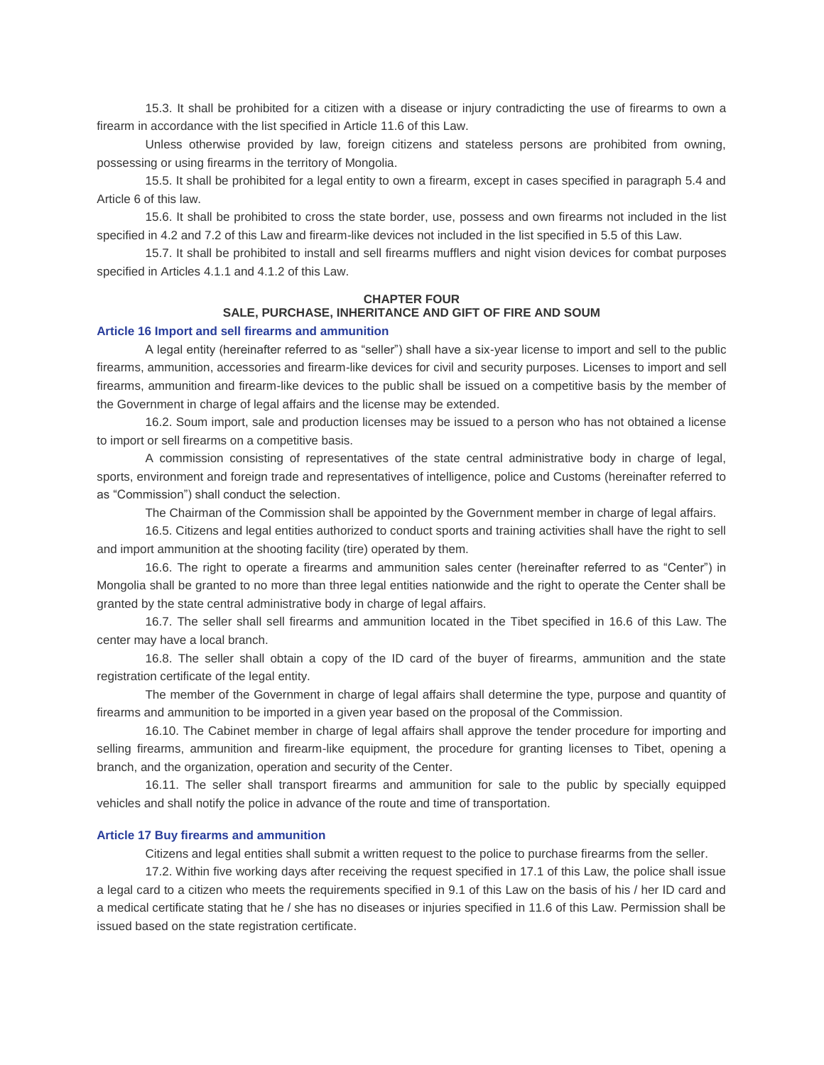15.3. It shall be prohibited for a citizen with a disease or injury contradicting the use of firearms to own a firearm in accordance with the list specified in Article 11.6 of this Law.

Unless otherwise provided by law, foreign citizens and stateless persons are prohibited from owning, possessing or using firearms in the territory of Mongolia.

15.5. It shall be prohibited for a legal entity to own a firearm, except in cases specified in paragraph 5.4 and Article 6 of this law.

15.6. It shall be prohibited to cross the state border, use, possess and own firearms not included in the list specified in 4.2 and 7.2 of this Law and firearm-like devices not included in the list specified in 5.5 of this Law.

15.7. It shall be prohibited to install and sell firearms mufflers and night vision devices for combat purposes specified in Articles 4.1.1 and 4.1.2 of this Law.

#### **CHAPTER FOUR**

# **SALE, PURCHASE, INHERITANCE AND GIFT OF FIRE AND SOUM**

#### **Article 16 Import and sell firearms and ammunition**

A legal entity (hereinafter referred to as "seller") shall have a six-year license to import and sell to the public firearms, ammunition, accessories and firearm-like devices for civil and security purposes. Licenses to import and sell firearms, ammunition and firearm-like devices to the public shall be issued on a competitive basis by the member of the Government in charge of legal affairs and the license may be extended.

16.2. Soum import, sale and production licenses may be issued to a person who has not obtained a license to import or sell firearms on a competitive basis.

A commission consisting of representatives of the state central administrative body in charge of legal, sports, environment and foreign trade and representatives of intelligence, police and Customs (hereinafter referred to as "Commission") shall conduct the selection.

The Chairman of the Commission shall be appointed by the Government member in charge of legal affairs.

16.5. Citizens and legal entities authorized to conduct sports and training activities shall have the right to sell and import ammunition at the shooting facility (tire) operated by them.

16.6. The right to operate a firearms and ammunition sales center (hereinafter referred to as "Center") in Mongolia shall be granted to no more than three legal entities nationwide and the right to operate the Center shall be granted by the state central administrative body in charge of legal affairs.

16.7. The seller shall sell firearms and ammunition located in the Tibet specified in 16.6 of this Law. The center may have a local branch.

16.8. The seller shall obtain a copy of the ID card of the buyer of firearms, ammunition and the state registration certificate of the legal entity.

The member of the Government in charge of legal affairs shall determine the type, purpose and quantity of firearms and ammunition to be imported in a given year based on the proposal of the Commission.

16.10. The Cabinet member in charge of legal affairs shall approve the tender procedure for importing and selling firearms, ammunition and firearm-like equipment, the procedure for granting licenses to Tibet, opening a branch, and the organization, operation and security of the Center.

16.11. The seller shall transport firearms and ammunition for sale to the public by specially equipped vehicles and shall notify the police in advance of the route and time of transportation.

#### **Article 17 Buy firearms and ammunition**

Citizens and legal entities shall submit a written request to the police to purchase firearms from the seller.

17.2. Within five working days after receiving the request specified in 17.1 of this Law, the police shall issue a legal card to a citizen who meets the requirements specified in 9.1 of this Law on the basis of his / her ID card and a medical certificate stating that he / she has no diseases or injuries specified in 11.6 of this Law. Permission shall be issued based on the state registration certificate.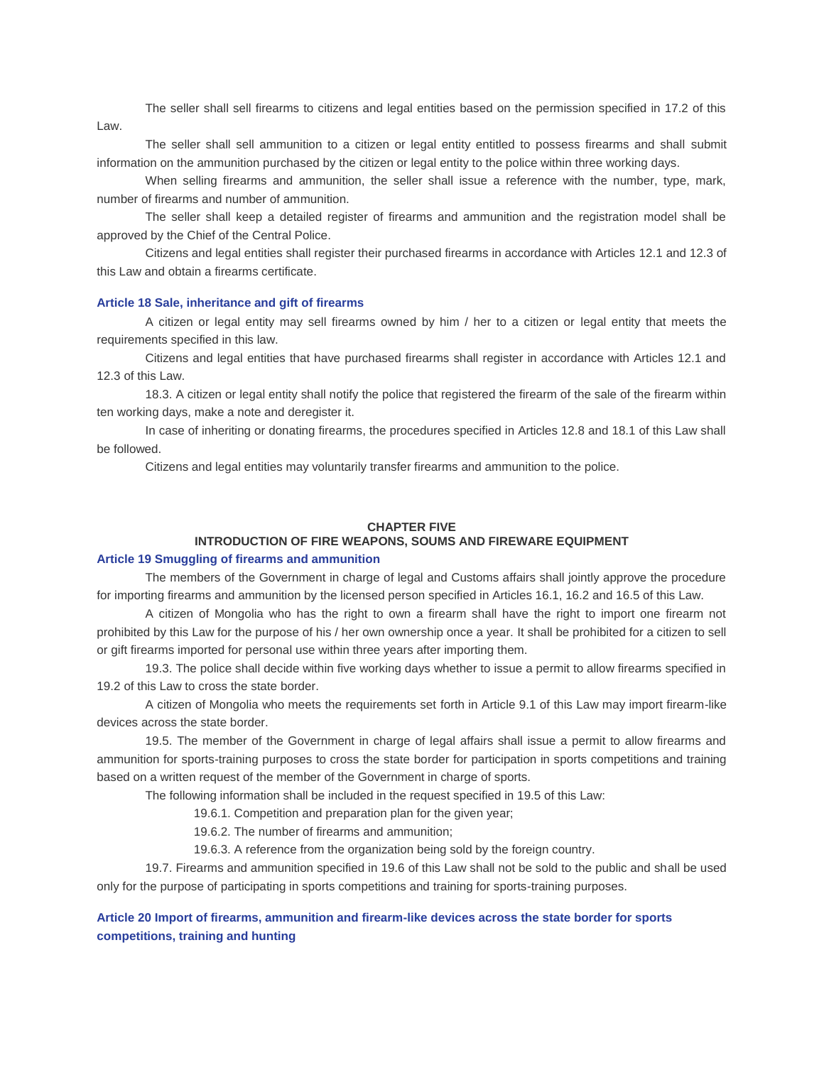The seller shall sell firearms to citizens and legal entities based on the permission specified in 17.2 of this Law.

The seller shall sell ammunition to a citizen or legal entity entitled to possess firearms and shall submit information on the ammunition purchased by the citizen or legal entity to the police within three working days.

When selling firearms and ammunition, the seller shall issue a reference with the number, type, mark, number of firearms and number of ammunition.

The seller shall keep a detailed register of firearms and ammunition and the registration model shall be approved by the Chief of the Central Police.

Citizens and legal entities shall register their purchased firearms in accordance with Articles 12.1 and 12.3 of this Law and obtain a firearms certificate.

# **Article 18 Sale, inheritance and gift of firearms**

A citizen or legal entity may sell firearms owned by him / her to a citizen or legal entity that meets the requirements specified in this law.

Citizens and legal entities that have purchased firearms shall register in accordance with Articles 12.1 and 12.3 of this Law.

18.3. A citizen or legal entity shall notify the police that registered the firearm of the sale of the firearm within ten working days, make a note and deregister it.

In case of inheriting or donating firearms, the procedures specified in Articles 12.8 and 18.1 of this Law shall be followed.

Citizens and legal entities may voluntarily transfer firearms and ammunition to the police.

## **CHAPTER FIVE**

# **INTRODUCTION OF FIRE WEAPONS, SOUMS AND FIREWARE EQUIPMENT**

#### **Article 19 Smuggling of firearms and ammunition**

The members of the Government in charge of legal and Customs affairs shall jointly approve the procedure for importing firearms and ammunition by the licensed person specified in Articles 16.1, 16.2 and 16.5 of this Law.

A citizen of Mongolia who has the right to own a firearm shall have the right to import one firearm not prohibited by this Law for the purpose of his / her own ownership once a year. It shall be prohibited for a citizen to sell or gift firearms imported for personal use within three years after importing them.

19.3. The police shall decide within five working days whether to issue a permit to allow firearms specified in 19.2 of this Law to cross the state border.

A citizen of Mongolia who meets the requirements set forth in Article 9.1 of this Law may import firearm-like devices across the state border.

19.5. The member of the Government in charge of legal affairs shall issue a permit to allow firearms and ammunition for sports-training purposes to cross the state border for participation in sports competitions and training based on a written request of the member of the Government in charge of sports.

The following information shall be included in the request specified in 19.5 of this Law:

19.6.1. Competition and preparation plan for the given year;

19.6.2. The number of firearms and ammunition;

19.6.3. A reference from the organization being sold by the foreign country.

19.7. Firearms and ammunition specified in 19.6 of this Law shall not be sold to the public and shall be used only for the purpose of participating in sports competitions and training for sports-training purposes.

# **Article 20 Import of firearms, ammunition and firearm-like devices across the state border for sports competitions, training and hunting**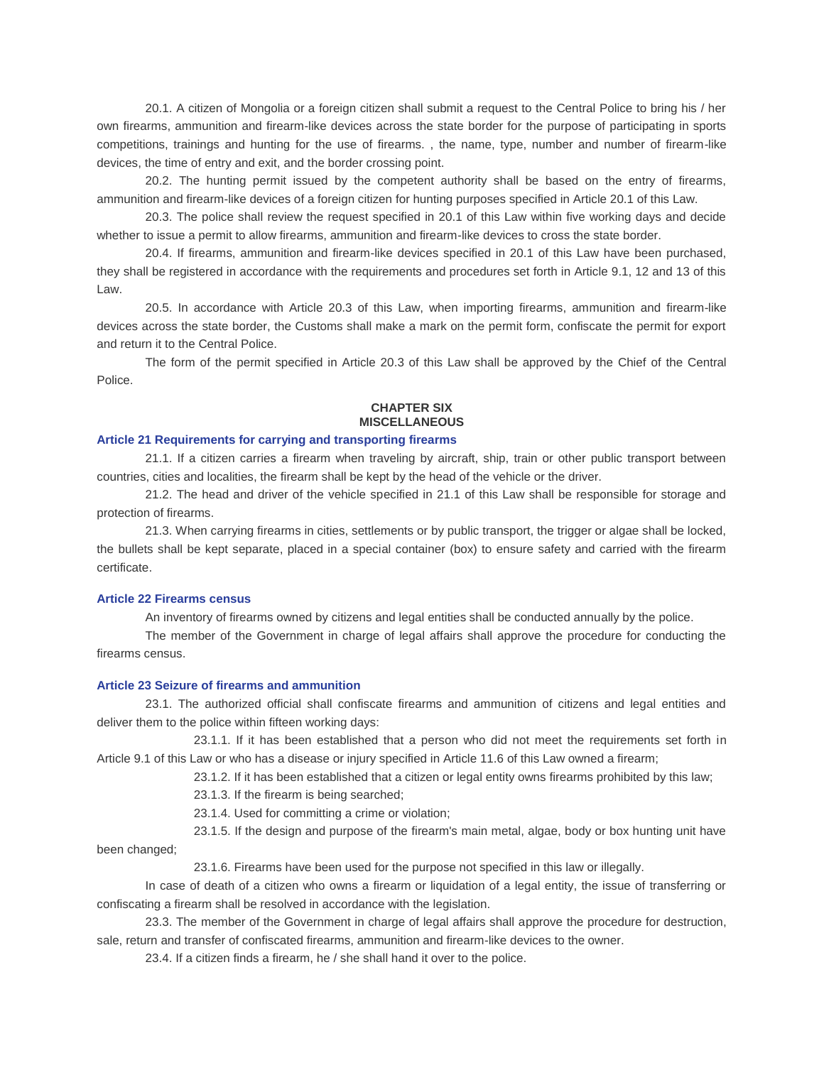20.1. A citizen of Mongolia or a foreign citizen shall submit a request to the Central Police to bring his / her own firearms, ammunition and firearm-like devices across the state border for the purpose of participating in sports competitions, trainings and hunting for the use of firearms. , the name, type, number and number of firearm-like devices, the time of entry and exit, and the border crossing point.

20.2. The hunting permit issued by the competent authority shall be based on the entry of firearms, ammunition and firearm-like devices of a foreign citizen for hunting purposes specified in Article 20.1 of this Law.

20.3. The police shall review the request specified in 20.1 of this Law within five working days and decide whether to issue a permit to allow firearms, ammunition and firearm-like devices to cross the state border.

20.4. If firearms, ammunition and firearm-like devices specified in 20.1 of this Law have been purchased, they shall be registered in accordance with the requirements and procedures set forth in Article 9.1, 12 and 13 of this Law.

20.5. In accordance with Article 20.3 of this Law, when importing firearms, ammunition and firearm-like devices across the state border, the Customs shall make a mark on the permit form, confiscate the permit for export and return it to the Central Police.

The form of the permit specified in Article 20.3 of this Law shall be approved by the Chief of the Central Police.

## **CHAPTER SIX MISCELLANEOUS**

## **Article 21 Requirements for carrying and transporting firearms**

21.1. If a citizen carries a firearm when traveling by aircraft, ship, train or other public transport between countries, cities and localities, the firearm shall be kept by the head of the vehicle or the driver.

21.2. The head and driver of the vehicle specified in 21.1 of this Law shall be responsible for storage and protection of firearms.

21.3. When carrying firearms in cities, settlements or by public transport, the trigger or algae shall be locked, the bullets shall be kept separate, placed in a special container (box) to ensure safety and carried with the firearm certificate.

### **Article 22 Firearms census**

An inventory of firearms owned by citizens and legal entities shall be conducted annually by the police.

The member of the Government in charge of legal affairs shall approve the procedure for conducting the firearms census.

## **Article 23 Seizure of firearms and ammunition**

23.1. The authorized official shall confiscate firearms and ammunition of citizens and legal entities and deliver them to the police within fifteen working days:

23.1.1. If it has been established that a person who did not meet the requirements set forth in Article 9.1 of this Law or who has a disease or injury specified in Article 11.6 of this Law owned a firearm;

23.1.2. If it has been established that a citizen or legal entity owns firearms prohibited by this law;

23.1.3. If the firearm is being searched;

23.1.4. Used for committing a crime or violation;

23.1.5. If the design and purpose of the firearm's main metal, algae, body or box hunting unit have been changed;

23.1.6. Firearms have been used for the purpose not specified in this law or illegally.

In case of death of a citizen who owns a firearm or liquidation of a legal entity, the issue of transferring or confiscating a firearm shall be resolved in accordance with the legislation.

23.3. The member of the Government in charge of legal affairs shall approve the procedure for destruction, sale, return and transfer of confiscated firearms, ammunition and firearm-like devices to the owner.

23.4. If a citizen finds a firearm, he / she shall hand it over to the police.